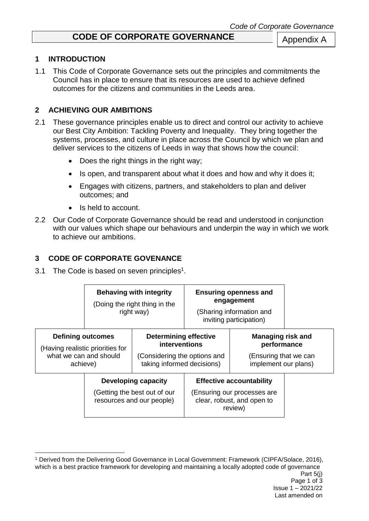# **CODE OF CORPORATE GOVERNANCE**

#### **1 INTRODUCTION**

1.1 This Code of Corporate Governance sets out the principles and commitments the Council has in place to ensure that its resources are used to achieve defined outcomes for the citizens and communities in the Leeds area.

### **2 ACHIEVING OUR AMBITIONS**

- 2.1 These governance principles enable us to direct and control our activity to achieve our Best City Ambition: Tackling Poverty and Inequality. They bring together the systems, processes, and culture in place across the Council by which we plan and deliver services to the citizens of Leeds in way that shows how the council:
	- Does the right things in the right way;
	- Is open, and transparent about what it does and how and why it does it;
	- Engages with citizens, partners, and stakeholders to plan and deliver outcomes; and
	- Is held to account.
- 2.2 Our Code of Corporate Governance should be read and understood in conjunction with our values which shape our behaviours and underpin the way in which we work to achieve our ambitions.

### **3 CODE OF CORPORATE GOVENANCE**

3.1 The Code is based on seven principles<sup>1</sup>.

1

|                                                                                                    | <b>Behaving with integrity</b><br>(Doing the right thing in the<br>right way)    |                                                                                                             | <b>Ensuring openness and</b><br>engagement<br>(Sharing information and<br>inviting participation)       |                                                                                         |  |
|----------------------------------------------------------------------------------------------------|----------------------------------------------------------------------------------|-------------------------------------------------------------------------------------------------------------|---------------------------------------------------------------------------------------------------------|-----------------------------------------------------------------------------------------|--|
| <b>Defining outcomes</b><br>(Having realistic priorities for<br>what we can and should<br>achieve) |                                                                                  | <b>Determining effective</b><br>interventions<br>(Considering the options and<br>taking informed decisions) |                                                                                                         | <b>Managing risk and</b><br>performance<br>Ensuring that we can<br>implement our plans) |  |
|                                                                                                    | Developing capacity<br>(Getting the best out of our<br>resources and our people) |                                                                                                             | <b>Effective accountability</b><br>(Ensuring our processes are<br>clear, robust, and open to<br>review) |                                                                                         |  |

<sup>1</sup> Derived from the Delivering Good Governance in Local Government: Framework (CIPFA/Solace, 2016), which is a best practice framework for developing and maintaining a locally adopted code of governance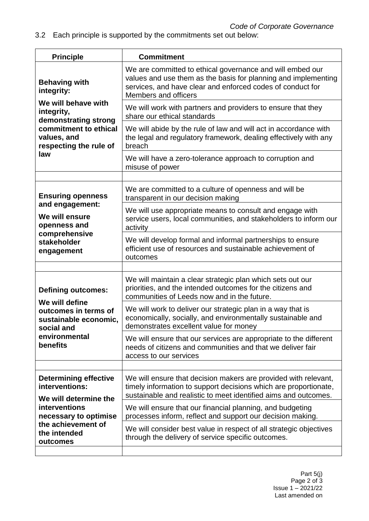3.2 Each principle is supported by the commitments set out below:

| <b>Principle</b>                                                              | <b>Commitment</b>                                                                                                                                                                                                 |
|-------------------------------------------------------------------------------|-------------------------------------------------------------------------------------------------------------------------------------------------------------------------------------------------------------------|
| <b>Behaving with</b><br>integrity:                                            | We are committed to ethical governance and will embed our<br>values and use them as the basis for planning and implementing<br>services, and have clear and enforced codes of conduct for<br>Members and officers |
| We will behave with<br>integrity,<br>demonstrating strong                     | We will work with partners and providers to ensure that they<br>share our ethical standards                                                                                                                       |
| commitment to ethical<br>values, and<br>respecting the rule of                | We will abide by the rule of law and will act in accordance with<br>the legal and regulatory framework, dealing effectively with any<br>breach                                                                    |
| law                                                                           | We will have a zero-tolerance approach to corruption and<br>misuse of power                                                                                                                                       |
|                                                                               |                                                                                                                                                                                                                   |
| <b>Ensuring openness</b>                                                      | We are committed to a culture of openness and will be<br>transparent in our decision making                                                                                                                       |
| and engagement:<br>We will ensure<br>openness and<br>comprehensive            | We will use appropriate means to consult and engage with<br>service users, local communities, and stakeholders to inform our<br>activity                                                                          |
| stakeholder<br>engagement                                                     | We will develop formal and informal partnerships to ensure<br>efficient use of resources and sustainable achievement of<br>outcomes                                                                               |
|                                                                               |                                                                                                                                                                                                                   |
| <b>Defining outcomes:</b>                                                     | We will maintain a clear strategic plan which sets out our<br>priorities, and the intended outcomes for the citizens and<br>communities of Leeds now and in the future.                                           |
| We will define<br>outcomes in terms of<br>sustainable economic,<br>social and | We will work to deliver our strategic plan in a way that is<br>economically, socially, and environmentally sustainable and<br>demonstrates excellent value for money                                              |
| environmental<br><b>benefits</b>                                              | We will ensure that our services are appropriate to the different<br>needs of citizens and communities and that we deliver fair<br>access to our services                                                         |
|                                                                               |                                                                                                                                                                                                                   |
| <b>Determining effective</b><br>interventions:<br>We will determine the       | We will ensure that decision makers are provided with relevant,<br>timely information to support decisions which are proportionate,<br>sustainable and realistic to meet identified aims and outcomes.            |
| interventions<br>necessary to optimise                                        | We will ensure that our financial planning, and budgeting<br>processes inform, reflect and support our decision making.                                                                                           |
| the achievement of<br>the intended<br>outcomes                                | We will consider best value in respect of all strategic objectives<br>through the delivery of service specific outcomes.                                                                                          |